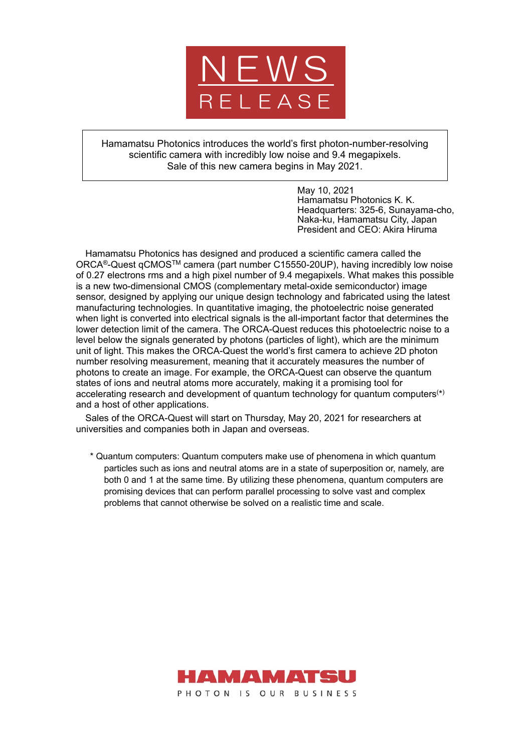

Hamamatsu Photonics introduces the world's first photon-number-resolving scientific camera with incredibly low noise and 9.4 megapixels. Sale of this new camera begins in May 2021.

> May 10, 2021 Hamamatsu Photonics K. K. Headquarters: 325-6, Sunayama-cho, Naka-ku, Hamamatsu City, Japan President and CEO: Akira Hiruma

Hamamatsu Photonics has designed and produced a scientific camera called the ORCA®-Quest qCMOSTM camera (part number C15550-20UP), having incredibly low noise of 0.27 electrons rms and a high pixel number of 9.4 megapixels. What makes this possible is a new two-dimensional CMOS (complementary metal-oxide semiconductor) image sensor, designed by applying our unique design technology and fabricated using the latest manufacturing technologies. In quantitative imaging, the photoelectric noise generated when light is converted into electrical signals is the all-important factor that determines the lower detection limit of the camera. The ORCA-Quest reduces this photoelectric noise to a level below the signals generated by photons (particles of light), which are the minimum unit of light. This makes the ORCA-Quest the world's first camera to achieve 2D photon number resolving measurement, meaning that it accurately measures the number of photons to create an image. For example, the ORCA-Quest can observe the quantum states of ions and neutral atoms more accurately, making it a promising tool for accelerating research and development of quantum technology for quantum computers $(*)$ and a host of other applications.

Sales of the ORCA-Quest will start on Thursday, May 20, 2021 for researchers at universities and companies both in Japan and overseas.

\* Quantum computers: Quantum computers make use of phenomena in which quantum particles such as ions and neutral atoms are in a state of superposition or, namely, are both 0 and 1 at the same time. By utilizing these phenomena, quantum computers are promising devices that can perform parallel processing to solve vast and complex problems that cannot otherwise be solved on a realistic time and scale.

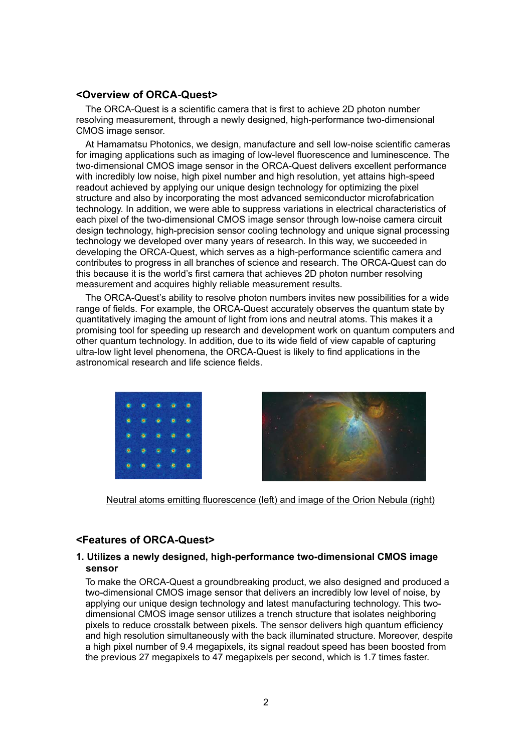### **<Overview of ORCA-Quest>**

The ORCA-Quest is a scientific camera that is first to achieve 2D photon number resolving measurement, through a newly designed, high-performance two-dimensional CMOS image sensor.

At Hamamatsu Photonics, we design, manufacture and sell low-noise scientific cameras for imaging applications such as imaging of low-level fluorescence and luminescence. The two-dimensional CMOS image sensor in the ORCA-Quest delivers excellent performance with incredibly low noise, high pixel number and high resolution, yet attains high-speed readout achieved by applying our unique design technology for optimizing the pixel structure and also by incorporating the most advanced semiconductor microfabrication technology. In addition, we were able to suppress variations in electrical characteristics of each pixel of the two-dimensional CMOS image sensor through low-noise camera circuit design technology, high-precision sensor cooling technology and unique signal processing technology we developed over many years of research. In this way, we succeeded in developing the ORCA-Quest, which serves as a high-performance scientific camera and contributes to progress in all branches of science and research. The ORCA-Quest can do this because it is the world's first camera that achieves 2D photon number resolving measurement and acquires highly reliable measurement results.

The ORCA-Quest's ability to resolve photon numbers invites new possibilities for a wide range of fields. For example, the ORCA-Quest accurately observes the quantum state by quantitatively imaging the amount of light from ions and neutral atoms. This makes it a promising tool for speeding up research and development work on quantum computers and other quantum technology. In addition, due to its wide field of view capable of capturing ultra-low light level phenomena, the ORCA-Quest is likely to find applications in the astronomical research and life science fields.





Neutral atoms emitting fluorescence (left) and image of the Orion Nebula (right)

# **<Features of ORCA-Quest>**

### **1. Utilizes a newly designed, high-performance two-dimensional CMOS image sensor**

To make the ORCA-Quest a groundbreaking product, we also designed and produced a two-dimensional CMOS image sensor that delivers an incredibly low level of noise, by applying our unique design technology and latest manufacturing technology. This twodimensional CMOS image sensor utilizes a trench structure that isolates neighboring pixels to reduce crosstalk between pixels. The sensor delivers high quantum efficiency and high resolution simultaneously with the back illuminated structure. Moreover, despite a high pixel number of 9.4 megapixels, its signal readout speed has been boosted from the previous 27 megapixels to 47 megapixels per second, which is 1.7 times faster.